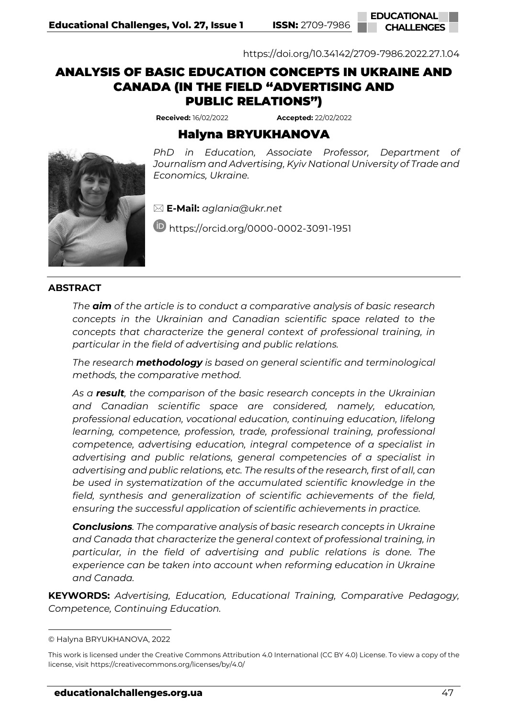

<https://doi.org/10.34142/2709-7986.2022.27.1.04>

# ANALYSIS OF BASIC EDUCATION CONCEPTS IN UKRAINE AND CANADA (IN THE FIELD "ADVERTISING AND PUBLIC RELATIONS")**<sup>1</sup>**

**Received:** 16/02/2022 **Accepted:** 22/02/2022

## Halyna BRYUKHANOVA





**E-Mail:** *[aglania@ukr.net](mailto:aglania@ukr.net)*

<https://orcid.org/0000-0002-3091-1951>

#### **ABSTRACT**

*The aim of the article is to conduct a comparative analysis of basic research concepts in the Ukrainian and Canadian scientific space related to the concepts that characterize the general context of professional training, in particular in the field of advertising and public relations.*

*The research methodology is based on general scientific and terminological methods, the comparative method.*

*As a result, the comparison of the basic research concepts in the Ukrainian and Canadian scientific space are considered, namely, education, professional education, vocational education, continuing education, lifelong learning, competence, profession, trade, professional training, professional competence, advertising education, integral competence of a specialist in advertising and public relations, general competencies of a specialist in advertising and public relations, etc. The results of the research, first of all, can be used in systematization of the accumulated scientific knowledge in the field, synthesis and generalization of scientific achievements of the field, ensuring the successful application of scientific achievements in practice.*

*Conclusions. The comparative analysis of basic research concepts in Ukraine and Canada that characterize the general context of professional training, in particular, in the field of advertising and public relations is done. The experience can be taken into account when reforming education in Ukraine and Canada.*

**KEYWORDS:** *Advertising, Education, Educational Training, Comparative Pedagogy, Competence, Continuing Education.*

<sup>©</sup> Halyna BRYUKHANOVA, 2022

This work is licensed under the Creative Commons Attribution 4.0 International (CC BY 4.0) License. To view a copy of the license, visi[t https://creativecommons.org/licenses/by/4.0/](https://creativecommons.org/licenses/by/4.0/)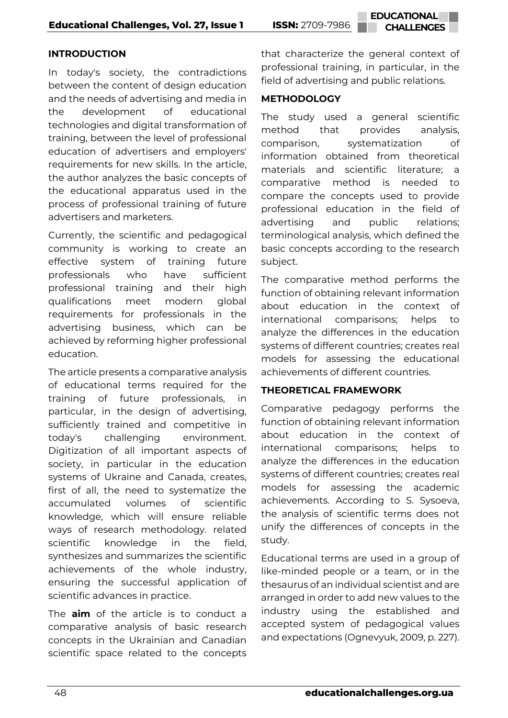## **INTRODUCTION**

In today's society, the contradictions between the content of design education and the needs of advertising and media in the development of educational technologies and digital transformation of training, between the level of professional education of advertisers and employers' requirements for new skills. In the article, the author analyzes the basic concepts of the educational apparatus used in the process of professional training of future advertisers and marketers.

Currently, the scientific and pedagogical community is working to create an effective system of training future professionals who have sufficient professional training and their high qualifications meet modern global requirements for professionals in the advertising business, which can be achieved by reforming higher professional education.

The article presents a comparative analysis of educational terms required for the training of future professionals, in particular, in the design of advertising, sufficiently trained and competitive in today's challenging environment. Digitization of all important aspects of society, in particular in the education systems of Ukraine and Canada, creates, first of all, the need to systematize the accumulated volumes of scientific knowledge, which will ensure reliable ways of research methodology. related scientific knowledge in the field, synthesizes and summarizes the scientific achievements of the whole industry, ensuring the successful application of scientific advances in practice.

The **aim** of the article is to conduct a comparative analysis of basic research concepts in the Ukrainian and Canadian scientific space related to the concepts

that characterize the general context of professional training, in particular, in the field of advertising and public relations.

## **METHODOLOGY**

The study used a general scientific method that provides analysis, comparison, systematization of information obtained from theoretical materials and scientific literature; a comparative method is needed to compare the concepts used to provide professional education in the field of advertising and public relations; terminological analysis, which defined the basic concepts according to the research subject.

The comparative method performs the function of obtaining relevant information about education in the context of international comparisons; helps to analyze the differences in the education systems of different countries; creates real models for assessing the educational achievements of different countries.

## **THEORETICAL FRAMEWORK**

Comparative pedagogy performs the function of obtaining relevant information about education in the context of international comparisons; helps to analyze the differences in the education systems of different countries; creates real models for assessing the academic achievements. According to S. Sysoeva, the analysis of scientific terms does not unify the differences of concepts in the study.

Educational terms are used in a group of like-minded people or a team, or in the thesaurus of an individual scientist and are arranged in order to add new values to the industry using the established and accepted system of pedagogical values and expectations (Ognevyuk, 2009, p. 227).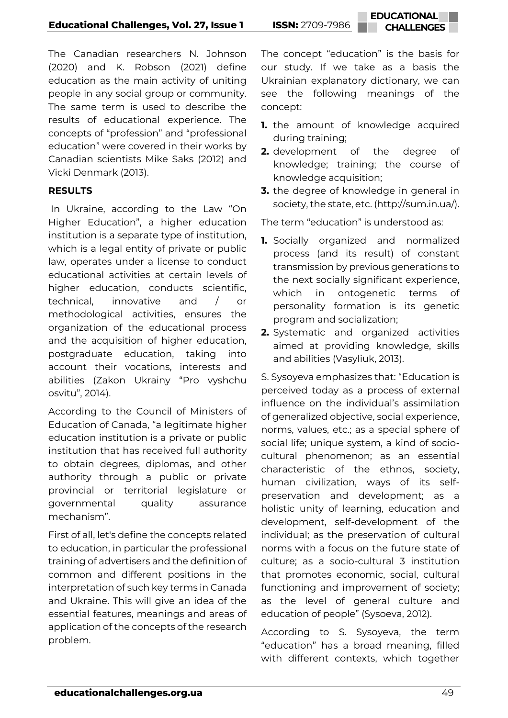The Canadian researchers N. Johnson (2020) and K. Robson (2021) define education as the main activity of uniting people in any social group or community. The same term is used to describe the results of educational experience. The concepts of "profession" and "professional education" were covered in their works by Canadian scientists Mike Saks (2012) and Vicki Denmark (2013).

## **RESULTS**

In Ukraine, according to the Law "On Higher Education", a higher education institution is a separate type of institution, which is a legal entity of private or public law, operates under a license to conduct educational activities at certain levels of higher education, conducts scientific, technical, innovative and / or methodological activities, ensures the organization of the educational process and the acquisition of higher education, postgraduate education, taking into account their vocations, interests and abilities (Zakon Ukrainy "Pro vyshchu osvitu", 2014).

According to the Council of Ministers of Education of Canada, "a legitimate higher education institution is a private or public institution that has received full authority to obtain degrees, diplomas, and other authority through a public or private provincial or territorial legislature or governmental quality assurance mechanism".

First of all, let's define the concepts related to education, in particular the professional training of advertisers and the definition of common and different positions in the interpretation of such key terms in Canada and Ukraine. This will give an idea of the essential features, meanings and areas of application of the concepts of the research problem.

The concept "education" is the basis for our study. If we take as a basis the Ukrainian explanatory dictionary, we can see the following meanings of the concept:

- **1.** the amount of knowledge acquired during training;
- **2.** development of the degree of knowledge; training; the course of knowledge acquisition;
- **3.** the degree of knowledge in general in society, the state, etc. [\(http://sum.in.ua/\)](http://sum.in.ua/).

The term "education" is understood as:

- **1.** Socially organized and normalized process (and its result) of constant transmission by previous generations to the next socially significant experience, which in ontogenetic terms of personality formation is its genetic program and socialization;
- **2.** Systematic and organized activities aimed at providing knowledge, skills and abilities (Vasyliuk, 2013).

S. Sysoyeva emphasizes that: "Education is perceived today as a process of external influence on the individual's assimilation of generalized objective, social experience, norms, values, etc.; as a special sphere of social life; unique system, a kind of sociocultural phenomenon; as an essential characteristic of the ethnos, society, human civilization, ways of its selfpreservation and development; as a holistic unity of learning, education and development, self-development of the individual; as the preservation of cultural norms with a focus on the future state of culture; as a socio-cultural 3 institution that promotes economic, social, cultural functioning and improvement of society; as the level of general culture and education of people" (Sysoeva, 2012).

According to S. Sysoyeva, the term "education" has a broad meaning, filled with different contexts, which together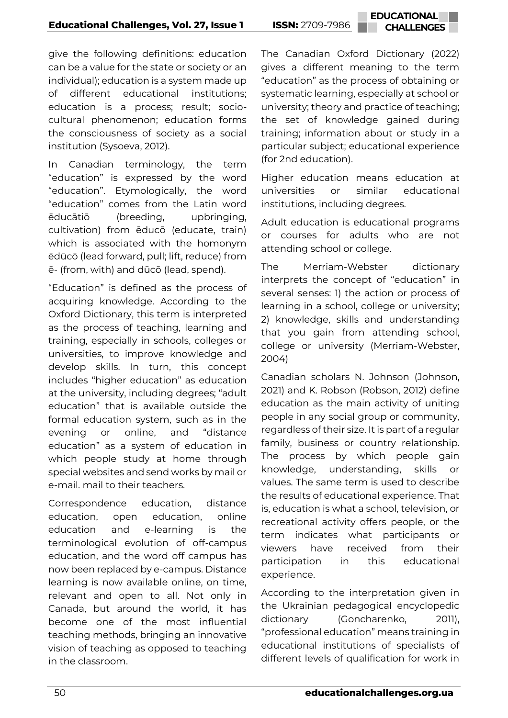give the following definitions: education can be a value for the state or society or an individual); education is a system made up of different educational institutions; education is a process; result; sociocultural phenomenon; education forms the consciousness of society as a social institution (Sysoeva, 2012).

In Canadian terminology, the term "education" is expressed by the word "education". Etymologically, the word "education" comes from the Latin word ēducātiō (breeding, upbringing, cultivation) from ēducō (educate, train) which is associated with the homonym ēdūcō (lead forward, pull; lift, reduce) from ē- (from, with) and dūcō (lead, spend).

"Education" is defined as the process of acquiring knowledge. According to the Oxford Dictionary, this term is interpreted as the process of teaching, learning and training, especially in schools, colleges or universities, to improve knowledge and develop skills. In turn, this concept includes "higher education" as education at the university, including degrees; "adult education" that is available outside the formal education system, such as in the evening or online, and "distance education" as a system of education in which people study at home through special websites and send works by mail or e-mail. mail to their teachers.

Correspondence education, distance education, open education, online education and e-learning is the terminological evolution of off-campus education, and the word off campus has now been replaced by e-campus. Distance learning is now available online, on time, relevant and open to all. Not only in Canada, but around the world, it has become one of the most influential teaching methods, bringing an innovative vision of teaching as opposed to teaching in the classroom.

The Canadian Oxford Dictionary (2022) gives a different meaning to the term "education" as the process of obtaining or systematic learning, especially at school or university; theory and practice of teaching; the set of knowledge gained during training; information about or study in a particular subject; educational experience (for 2nd education).

Higher education means education at universities or similar educational institutions, including degrees.

Adult education is educational programs or courses for adults who are not attending school or college.

The Merriam-Webster dictionary interprets the concept of "education" in several senses: 1) the action or process of learning in a school, college or university; 2) knowledge, skills and understanding that you gain from attending school, college or university (Merriam-Webster, 2004)

Canadian scholars N. Johnson (Johnson, 2021) and K. Robson (Robson, 2012) define education as the main activity of uniting people in any social group or community, regardless of their size. It is part of a regular family, business or country relationship. The process by which people gain knowledge, understanding, skills or values. The same term is used to describe the results of educational experience. That is, education is what a school, television, or recreational activity offers people, or the term indicates what participants or viewers have received from their participation in this educational experience.

According to the interpretation given in the Ukrainian pedagogical encyclopedic dictionary (Goncharenko, 2011), "professional education" means training in educational institutions of specialists of different levels of qualification for work in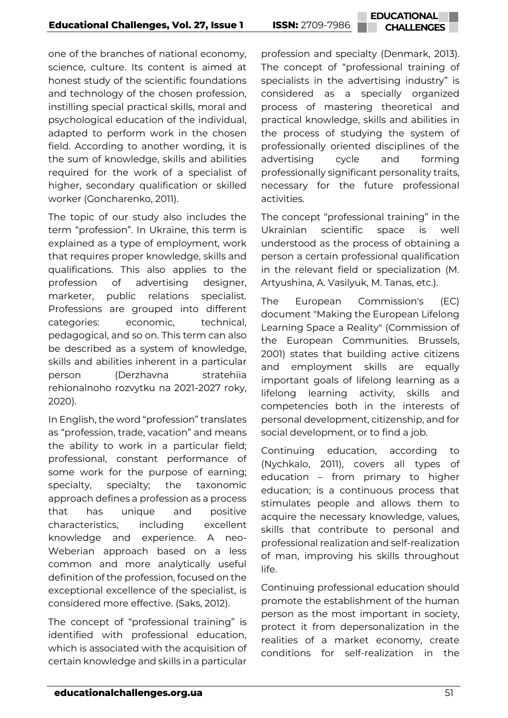one of the branches of national economy, science, culture. Its content is aimed at honest study of the scientific foundations and technology of the chosen profession, instilling special practical skills, moral and psychological education of the individual, adapted to perform work in the chosen field. According to another wording, it is the sum of knowledge, skills and abilities required for the work of a specialist of higher, secondary qualification or skilled worker (Goncharenko, 2011).

The topic of our study also includes the term "profession". In Ukraine, this term is explained as a type of employment, work that requires proper knowledge, skills and qualifications. This also applies to the profession of advertising designer, marketer, public relations specialist. Professions are grouped into different categories: economic, technical, pedagogical, and so on. This term can also be described as a system of knowledge, skills and abilities inherent in a particular person (Derzhavna stratehiia rehionalnoho rozvytku na 2021-2027 roky, 2020).

In English, the word "profession" translates as "profession, trade, vacation" and means the ability to work in a particular field; professional, constant performance of some work for the purpose of earning; specialty, specialty; the taxonomic approach defines a profession as a process that has unique and positive characteristics, including excellent knowledge and experience. A neo-Weberian approach based on a less common and more analytically useful definition of the profession, focused on the exceptional excellence of the specialist, is considered more effective. (Saks, 2012).

The concept of "professional training" is identified with professional education, which is associated with the acquisition of certain knowledge and skills in a particular profession and specialty (Denmark, 2013). The concept of "professional training of specialists in the advertising industry" is considered as a specially organized process of mastering theoretical and practical knowledge, skills and abilities in the process of studying the system of professionally oriented disciplines of the advertising cycle and forming professionally significant personality traits, necessary for the future professional activities.

The concept "professional training" in the Ukrainian scientific space is well understood as the process of obtaining a person a certain professional qualification in the relevant field or specialization (M. Artyushina, A. Vasilyuk, M. Tanas, etc.).

The European Commission's (EC) document "Making the European Lifelong Learning Space a Reality" (Commission of the European Communities. Brussels, 2001) states that building active citizens and employment skills are equally important goals of lifelong learning as a lifelong learning activity, skills and competencies both in the interests of personal development, citizenship, and for social development, or to find a job.

Continuing education, according to (Nychkalo, 2011), covers all types of education – from primary to higher education; is a continuous process that stimulates people and allows them to acquire the necessary knowledge, values, skills that contribute to personal and professional realization and self-realization of man, improving his skills throughout life.

Continuing professional education should promote the establishment of the human person as the most important in society, protect it from depersonalization in the realities of a market economy, create conditions for self-realization in the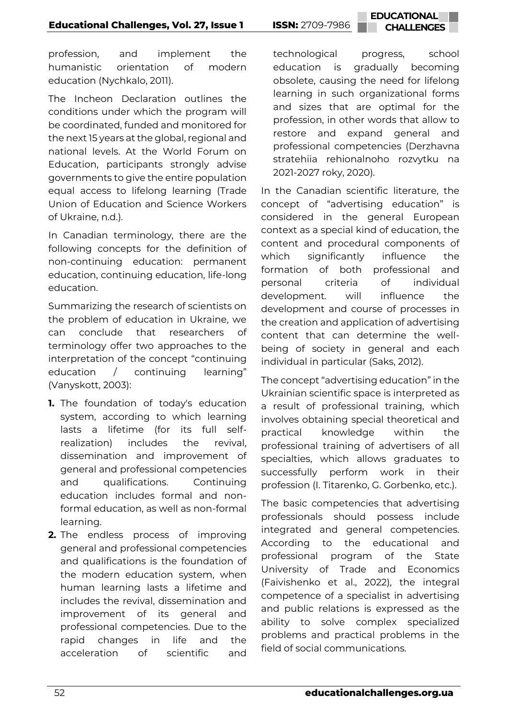profession, and implement the humanistic orientation of modern education (Nychkalo, 2011).

The Incheon Declaration outlines the conditions under which the program will be coordinated, funded and monitored for the next 15 years at the global, regional and national levels. At the World Forum on Education, participants strongly advise governments to give the entire population equal access to lifelong learning (Trade Union of Education and Science Workers of Ukraine, n.d.).

In Canadian terminology, there are the following concepts for the definition of non-continuing education: permanent education, continuing education, life-long education.

Summarizing the research of scientists on the problem of education in Ukraine, we can conclude that researchers of terminology offer two approaches to the interpretation of the concept "continuing education / continuing learning" (Vanyskott, 2003):

- **1.** The foundation of today's education system, according to which learning lasts a lifetime (for its full selfrealization) includes the revival, dissemination and improvement of general and professional competencies and qualifications. Continuing education includes formal and nonformal education, as well as non-formal learning.
- **2.** The endless process of improving general and professional competencies and qualifications is the foundation of the modern education system, when human learning lasts a lifetime and includes the revival, dissemination and improvement of its general and professional competencies. Due to the rapid changes in life and the acceleration of scientific and

technological progress, school education is gradually becoming obsolete, causing the need for lifelong learning in such organizational forms and sizes that are optimal for the profession, in other words that allow to restore and expand general and professional competencies (Derzhavna stratehiia rehionalnoho rozvytku na 2021-2027 roky, 2020).

In the Canadian scientific literature, the concept of "advertising education" is considered in the general European context as a special kind of education, the content and procedural components of which significantly influence the formation of both professional and personal criteria of individual development. will influence the development and course of processes in the creation and application of advertising content that can determine the wellbeing of society in general and each individual in particular (Saks, 2012).

The concept "advertising education" in the Ukrainian scientific space is interpreted as a result of professional training, which involves obtaining special theoretical and practical knowledge within the professional training of advertisers of all specialties, which allows graduates to successfully perform work in their profession (I. Titarenko, G. Gorbenko, etc.).

The basic competencies that advertising professionals should possess include integrated and general competencies. According to the educational and professional program of the State University of Trade and Economics (Faivishenko et al., 2022), the integral competence of a specialist in advertising and public relations is expressed as the ability to solve complex specialized problems and practical problems in the field of social communications.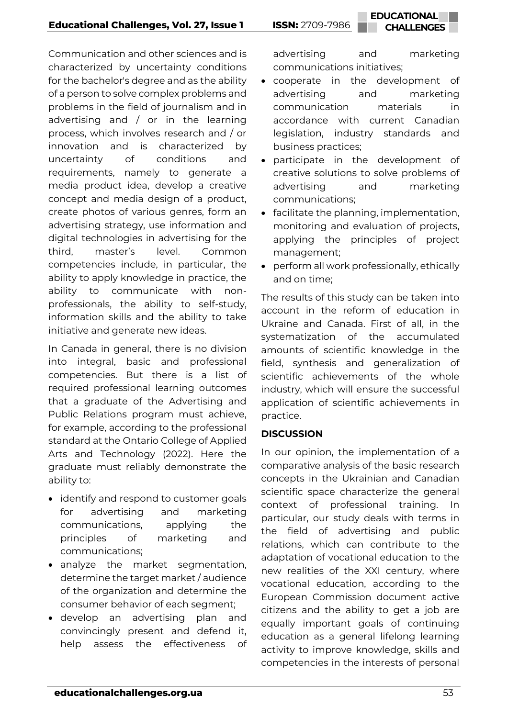Communication and other sciences and is characterized by uncertainty conditions for the bachelor's degree and as the ability of a person to solve complex problems and problems in the field of journalism and in advertising and / or in the learning process, which involves research and / or innovation and is characterized by uncertainty of conditions and requirements, namely to generate a media product idea, develop a creative concept and media design of a product, create photos of various genres, form an advertising strategy, use information and digital technologies in advertising for the third, master's level. Common competencies include, in particular, the ability to apply knowledge in practice, the ability to communicate with nonprofessionals, the ability to self-study, information skills and the ability to take initiative and generate new ideas.

In Canada in general, there is no division into integral, basic and professional competencies. But there is a list of required professional learning outcomes that a graduate of the Advertising and Public Relations program must achieve, for example, according to the professional standard at the Ontario College of Applied Arts and Technology (2022). Here the graduate must reliably demonstrate the ability to:

- identify and respond to customer goals for advertising and marketing communications, applying the principles of marketing and communications;
- analyze the market segmentation, determine the target market / audience of the organization and determine the consumer behavior of each segment;
- develop an advertising plan and convincingly present and defend it, help assess the effectiveness of

advertising and marketing communications initiatives;

- cooperate in the development of advertising and marketing communication materials in accordance with current Canadian legislation, industry standards and business practices;
- participate in the development of creative solutions to solve problems of advertising and marketing communications;
- facilitate the planning, implementation, monitoring and evaluation of projects, applying the principles of project management;
- perform all work professionally, ethically and on time;

The results of this study can be taken into account in the reform of education in Ukraine and Canada. First of all, in the systematization of the accumulated amounts of scientific knowledge in the field, synthesis and generalization of scientific achievements of the whole industry, which will ensure the successful application of scientific achievements in practice.

## **DISCUSSION**

In our opinion, the implementation of a comparative analysis of the basic research concepts in the Ukrainian and Canadian scientific space characterize the general context of professional training. In particular, our study deals with terms in the field of advertising and public relations, which can contribute to the adaptation of vocational education to the new realities of the XXI century, where vocational education, according to the European Commission document active citizens and the ability to get a job are equally important goals of continuing education as a general lifelong learning activity to improve knowledge, skills and competencies in the interests of personal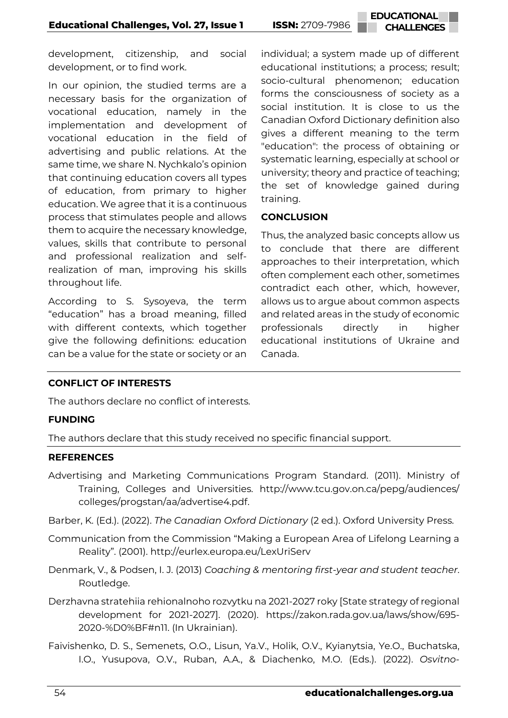development, citizenship, and social development, or to find work.

In our opinion, the studied terms are a necessary basis for the organization of vocational education, namely in the implementation and development of vocational education in the field of advertising and public relations. At the same time, we share N. Nychkalo's opinion that continuing education covers all types of education, from primary to higher education. We agree that it is a continuous process that stimulates people and allows them to acquire the necessary knowledge, values, skills that contribute to personal and professional realization and selfrealization of man, improving his skills throughout life.

According to S. Sysoyeva, the term "education" has a broad meaning, filled with different contexts, which together give the following definitions: education can be a value for the state or society or an individual; a system made up of different educational institutions; a process; result; socio-cultural phenomenon; education forms the consciousness of society as a social institution. It is close to us the Canadian Oxford Dictionary definition also gives a different meaning to the term "education": the process of obtaining or systematic learning, especially at school or university; theory and practice of teaching; the set of knowledge gained during training.

#### **CONCLUSION**

Thus, the analyzed basic concepts allow us to conclude that there are different approaches to their interpretation, which often complement each other, sometimes contradict each other, which, however, allows us to argue about common aspects and related areas in the study of economic professionals directly in higher educational institutions of Ukraine and Canada.

## **CONFLICT OF INTERESTS**

The authors declare no conflict of interests.

## **FUNDING**

The authors declare that this study received no specific financial support.

#### **REFERENCES**

- Advertising and Marketing Communications Program Standard. (2011). Ministry of Training, Colleges and Universities. [http://www.tcu.gov.on.ca/pepg/audiences/](http://www.tcu.gov.on.ca/pepg/audiences/%20colleges/progstan/aa/advertise4.pdf) [colleges/progstan/aa/advertise4.pdf.](http://www.tcu.gov.on.ca/pepg/audiences/%20colleges/progstan/aa/advertise4.pdf)
- Barber, K. (Ed.). (2022). *The Canadian Oxford Dictionary* (2 ed.). Oxford University Press.
- Communication from the Commission "Making a European Area of Lifelong Learning a Reality". (2001). <http://eurlex.europa.eu/LexUriServ>
- Denmark, V., & Podsen, I. J. (2013) *Coaching & mentoring first-year and student teacher*. Routledge.
- Derzhavna stratehiia rehionalnoho rozvytku na 2021-2027 roky [State strategy of regional development for 2021-2027]. (2020). [https://zakon.rada.gov.ua/laws/show/695-](https://zakon.rada.gov.ua/laws/show/695-2020-%D0%BF#n11) [2020-%D0%BF#n11.](https://zakon.rada.gov.ua/laws/show/695-2020-%D0%BF#n11) (In Ukrainian).
- Faivishenko, D. S., Semenets, O.O., Lisun, Ya.V., Holik, O.V., Kyianytsia, Ye.O., Buchatska, I.O., Yusupova, O.V., Ruban, A.A., & Diachenko, M.O. (Eds.). (2022). *Osvitno-*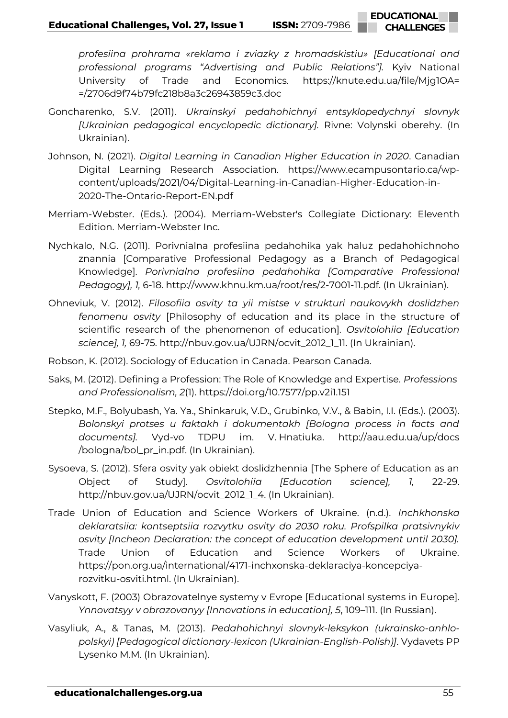**EDUCATIONAL CHALLENGES**

*profesiina prohrama «reklama i zviazky z hromadskistiu» [Educational and professional programs "Advertising and Public Relations"].* Kyiv National University of Trade and Economics. [https://knute.edu.ua/file/Mjg1OA=](https://knute.edu.ua/file/Mjg1OA=%20=/2706d9f74b79fc218b8a3c26943859c3.doc)  [=/2706d9f74b79fc218b8a3c26943859c3.doc](https://knute.edu.ua/file/Mjg1OA=%20=/2706d9f74b79fc218b8a3c26943859c3.doc)

- Goncharenko, S.V. (2011). *Ukrainskyi pedahohichnyi entsyklopedychnyi slovnyk [Ukrainian pedagogical encyclopedic dictionary].* Rivne: Volynski oberehy. (In Ukrainian).
- Johnson, N. (2021). *Digital Learning in Canadian Higher Education in 2020*. Canadian Digital Learning Research Association. [https://www.ecampusontario.ca/wp](https://www.ecampusontario.ca/wp-content/uploads/2021/04/Digital-Learning-in-Canadian-Higher-Education-in-2020-The-Ontario-Report-EN.pdf)[content/uploads/2021/04/Digital-Learning-in-Canadian-Higher-Education-in-](https://www.ecampusontario.ca/wp-content/uploads/2021/04/Digital-Learning-in-Canadian-Higher-Education-in-2020-The-Ontario-Report-EN.pdf)[2020-The-Ontario-Report-EN.pdf](https://www.ecampusontario.ca/wp-content/uploads/2021/04/Digital-Learning-in-Canadian-Higher-Education-in-2020-The-Ontario-Report-EN.pdf)
- Merriam-Webster. (Eds.). (2004). Merriam-Webster's Collegiate Dictionary: Eleventh Edition. Merriam-Webster Inc.
- Nychkalo, N.G. (2011). Porivnialna profesiina pedahohika yak haluz pedahohichnoho znannia [Comparative Professional Pedagogy as a Branch of Pedagogical Knowledge]. *Porivnialna profesiina pedahohika [Comparative Professional Pedagogy], 1,* 6-18. [http://www.khnu.km.ua/root/res/2-7001-11.pdf.](http://www.khnu.km.ua/root/res/2-7001-11.pdf) (In Ukrainian).
- Ohneviuk, V. (2012). *Filosofiia osvity ta yii mistse v strukturi naukovykh doslidzhen fenomenu osvity* [Philosophy of education and its place in the structure of scientific research of the phenomenon of education]. *Osvitolohiia [Education science], 1,* 69-75. [http://nbuv.gov.ua/UJRN/ocvit\\_2012\\_1\\_11.](http://nbuv.gov.ua/UJRN/ocvit_2012_1_11) (In Ukrainian).
- Robson, K. (2012). Sociology of Education in Canada. Pearson Canada.
- Saks, M. (2012). Defining a Profession: The Role of Knowledge and Expertise. *Professions and Professionalism, 2*(1).<https://doi.org/10.7577/pp.v2i1.151>
- Stepko, M.F., Bolyubash, Ya. Ya., Shinkaruk, V.D., Grubinko, V.V., & Babin, I.I. (Eds.). (2003). *Bolonskyi protses u faktakh i dokumentakh [Bologna process in facts and documents].* Vyd-vo TDPU im. V. Hnatiuka. [http://aau.edu.ua/up/docs](http://aau.edu.ua/up/docs%20/bologna/bol_pr_in.pdf)  [/bologna/bol\\_pr\\_in.pdf.](http://aau.edu.ua/up/docs%20/bologna/bol_pr_in.pdf) (In Ukrainian).
- Sysoeva, S. (2012). Sfera osvity yak obiekt doslidzhennia [The Sphere of Education as an Object of Study]. *Osvitolohiia [Education science], 1,* 22-29. [http://nbuv.gov.ua/UJRN/ocvit\\_2012\\_1\\_4.](http://nbuv.gov.ua/UJRN/ocvit_2012_1_4) (In Ukrainian).
- Trade Union of Education and Science Workers of Ukraine. (n.d.). *Inchkhonska deklaratsiia: kontseptsiia rozvytku osvity do 2030 roku. Profspilka pratsivnykiv osvity [Incheon Declaration: the concept of education development until 2030].* Trade Union of Education and Science Workers of Ukraine. [https://pon.org.ua/international/4171-inchxonska-deklaraciya-koncepciya](https://pon.org.ua/international/4171-inchxonska-deklaraciya-koncepciya-rozvitku-osviti.html)[rozvitku-osviti.html.](https://pon.org.ua/international/4171-inchxonska-deklaraciya-koncepciya-rozvitku-osviti.html) (In Ukrainian).
- Vanyskott, F. (2003) Obrazovatelnye systemy v Evrope [Educational systems in Europe]. *Ynnovatsyy v obrazovanyy [Innovations in education], 5*, 109–111. (In Russian).
- Vasyliuk, A., & Tanas, M. (2013). *Pedahohichnyi slovnyk-leksykon (ukrainsko-anhlopolskyi) [Pedagogical dictionary-lexicon (Ukrainian-English-Polish)]*. Vydavets PP Lysenko M.M. (In Ukrainian).